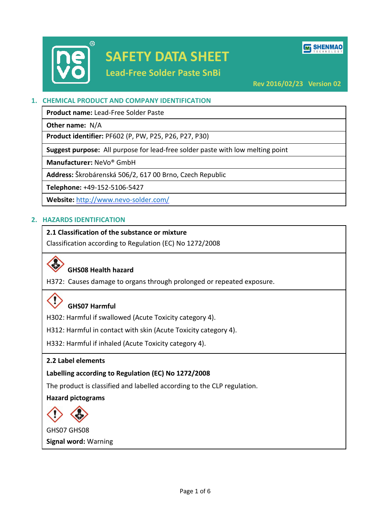

# **SAFETY DATA SHEET**

**Lead-Free Solder Paste SnBi**

**M** SHENMAO

**Rev 2016/02/23 Version 02**

# **1. CHEMICAL PRODUCT AND COMPANY IDENTIFICATION**

**Product name:** Lead-Free Solder Paste

**Other name:** N/A

**Product identifier:** PF602 (P, PW, P25, P26, P27, P30)

**Suggest purpose:** All purpose for lead-free solder paste with low melting point

**Manufacturer:** NeVo® GmbH

**Address:** Škrobárenská 506/2, 617 00 Brno, Czech Republic

**Telephone:** +49-152-5106-5427

**Website:** <http://www.nevo-solder.com/>

# **2. HAZARDS IDENTIFICATION**

# **2.1 Classification of the substance or mixture**

Classification according to Regulation (EC) No 1272/2008

# **GHS08 Health hazard**

H372: Causes damage to organs through prolonged or repeated exposure.

# **GHS07 Harmful**

H302: Harmful if swallowed (Acute Toxicity category 4).

H312: Harmful in contact with skin (Acute Toxicity category 4).

H332: Harmful if inhaled (Acute Toxicity category 4).

#### **2.2 Label elements**

# **Labelling according to Regulation (EC) No 1272/2008**

The product is classified and labelled according to the CLP regulation.

**Hazard pictograms**



GHS07 GHS08 **Signal word:** Warning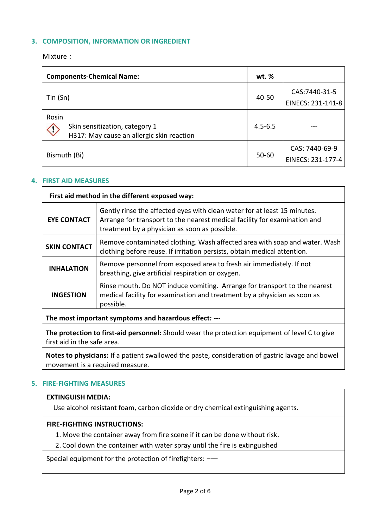# **3. COMPOSITION, INFORMATION OR INGREDIENT**

Mixture:

| <b>Components-Chemical Name:</b>                                                                   |  | wt. %       |                                     |
|----------------------------------------------------------------------------------------------------|--|-------------|-------------------------------------|
| Tin(Sn)                                                                                            |  | 40-50       | CAS:7440-31-5<br>EINECS: 231-141-8  |
| Rosin<br>Skin sensitization, category 1<br>$\Diamond$<br>H317: May cause an allergic skin reaction |  | $4.5 - 6.5$ |                                     |
| Bismuth (Bi)                                                                                       |  | 50-60       | CAS: 7440-69-9<br>EINECS: 231-177-4 |

#### **4. FIRST AID MEASURES**

| First aid method in the different exposed way:        |                                                                                                                                                                                                        |  |
|-------------------------------------------------------|--------------------------------------------------------------------------------------------------------------------------------------------------------------------------------------------------------|--|
| <b>EYE CONTACT</b>                                    | Gently rinse the affected eyes with clean water for at least 15 minutes.<br>Arrange for transport to the nearest medical facility for examination and<br>treatment by a physician as soon as possible. |  |
| <b>SKIN CONTACT</b>                                   | Remove contaminated clothing. Wash affected area with soap and water. Wash<br>clothing before reuse. If irritation persists, obtain medical attention.                                                 |  |
| <b>INHALATION</b>                                     | Remove personnel from exposed area to fresh air immediately. If not<br>breathing, give artificial respiration or oxygen.                                                                               |  |
| <b>INGESTION</b>                                      | Rinse mouth. Do NOT induce vomiting. Arrange for transport to the nearest<br>medical facility for examination and treatment by a physician as soon as<br>possible.                                     |  |
| The most important symptoms and hazardous effect: --- |                                                                                                                                                                                                        |  |

**The protection to first-aid personnel:** Should wear the protection equipment of level C to give first aid in the safe area.

**Notes to physicians:** If a patient swallowed the paste, consideration of gastric lavage and bowel movement is a required measure.

#### **5. FIRE-FIGHTING MEASURES**

# **EXTINGUISH MEDIA:**

Use alcohol resistant foam, carbon dioxide or dry chemical extinguishing agents.

#### **FIRE-FIGHTING INSTRUCTIONS:**

1. Move the container away from fire scene if it can be done without risk.

2. Cool down the container with water spray until the fire is extinguished

Special equipment for the protection of firefighters: ---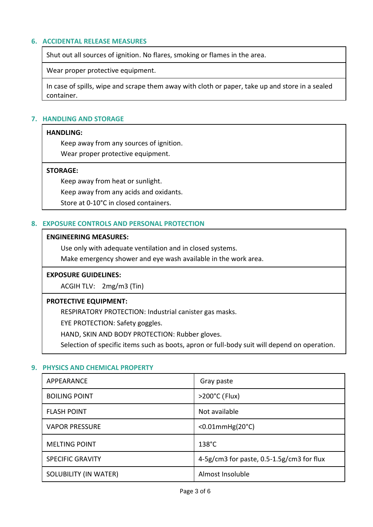#### **6. ACCIDENTAL RELEASE MEASURES**

Shut out all sources of ignition. No flares, smoking or flames in the area.

Wear proper protective equipment.

In case of spills, wipe and scrape them away with cloth or paper, take up and store in a sealed container.

### **7. HANDLING AND STORAGE**

#### **HANDLING:**

Keep away from any sources of ignition.

Wear proper protective equipment.

#### **STORAGE:**

Keep away from heat or sunlight.

Keep away from any acids and oxidants.

Store at 0-10°C in closed containers.

### **8. EXPOSURE CONTROLS AND PERSONAL PROTECTION**

#### **ENGINEERING MEASURES:**

Use only with adequate ventilation and in closed systems.

Make emergency shower and eye wash available in the work area.

#### **EXPOSURE GUIDELINES:**

ACGIH TLV: 2mg/m3 (Tin)

#### **PROTECTIVE EQUIPMENT:**

RESPIRATORY PROTECTION: Industrial canister gas masks.

EYE PROTECTION: Safety goggles.

HAND, SKIN AND BODY PROTECTION: Rubber gloves.

Selection of specific items such as boots, apron or full-body suit will depend on operation.

#### **9. PHYSICS AND CHEMICAL PROPERTY**

| APPEARANCE              | Gray paste                                |
|-------------------------|-------------------------------------------|
| <b>BOILING POINT</b>    | $>200^{\circ}$ C (Flux)                   |
| <b>FLASH POINT</b>      | Not available                             |
| <b>VAPOR PRESSURE</b>   | $< 0.01$ mmHg $(20°C)$                    |
| <b>MELTING POINT</b>    | $138^{\circ}$ C                           |
| <b>SPECIFIC GRAVITY</b> | 4-5g/cm3 for paste, 0.5-1.5g/cm3 for flux |
| SOLUBILITY (IN WATER)   | Almost Insoluble                          |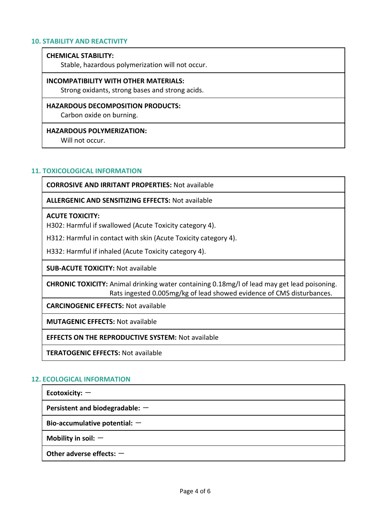#### **10. STABILITY AND REACTIVITY**

#### **CHEMICAL STABILITY:**

Stable, hazardous polymerization will not occur.

#### **INCOMPATIBILITY WITH OTHER MATERIALS:**

Strong oxidants, strong bases and strong acids.

#### **HAZARDOUS DECOMPOSITION PRODUCTS:**

Carbon oxide on burning.

#### **HAZARDOUS POLYMERIZATION:**

Will not occur.

#### **11. TOXICOLOGICAL INFORMATION**

**CORROSIVE AND IRRITANT PROPERTIES:** Not available

**ALLERGENIC AND SENSITIZING EFFECTS:** Not available

#### **ACUTE TOXICITY:**

H302: Harmful if swallowed (Acute Toxicity category 4).

H312: Harmful in contact with skin (Acute Toxicity category 4).

H332: Harmful if inhaled (Acute Toxicity category 4).

**SUB-ACUTE TOXICITY:** Not available

**CHRONIC TOXICITY:** Animal drinking water containing 0.18mg/l of lead may get lead poisoning. Rats ingested 0.005mg/kg of lead showed evidence of CMS disturbances.

**CARCINOGENIC EFFECTS:** Not available

**MUTAGENIC EFFECTS:** Not available

**EFFECTS ON THE REPRODUCTIVE SYSTEM:** Not available

**TERATOGENIC EFFECTS:** Not available

#### **12. ECOLOGICAL INFORMATION**

**Ecotoxicity:** -

**Persistent and biodegradable: -**

**Bio-accumulative potential:** -

**Mobility in soil:**  $-$ 

**Other adverse effects: -**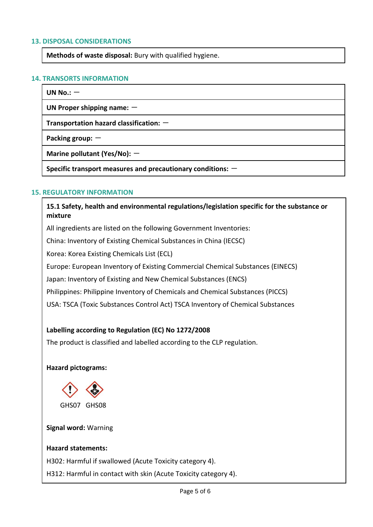#### **13. DISPOSAL CONSIDERATIONS**

**Methods of waste disposal:** Bury with qualified hygiene.

### **14. TRANSORTS INFORMATION**

**UN No.:**  $-$ 

**UN Proper shipping name:**  $-$ 

**Transportation hazard classification:**  $-$ 

**Packing group: -**

**Marine pollutant (Yes/No): -**

Specific transport measures and precautionary conditions:  $-$ 

### **15. REGULATORY INFORMATION**

**15.1 Safety, health and environmental regulations/legislation specific for the substance or mixture**

All ingredients are listed on the following Government Inventories:

China: Inventory of Existing Chemical Substances in China (IECSC)

Korea: Korea Existing Chemicals List (ECL)

Europe: European Inventory of Existing Commercial Chemical Substances (EINECS)

Japan: Inventory of Existing and New Chemical Substances (ENCS)

Philippines: Philippine Inventory of Chemicals and Chemical Substances (PICCS)

USA: TSCA (Toxic Substances Control Act) TSCA Inventory of Chemical Substances

# **Labelling according to Regulation (EC) No 1272/2008**

The product is classified and labelled according to the CLP regulation.

#### **Hazard pictograms:**



#### **Signal word:** Warning

#### **Hazard statements:**

H302: Harmful if swallowed (Acute Toxicity category 4).

H312: Harmful in contact with skin (Acute Toxicity category 4).